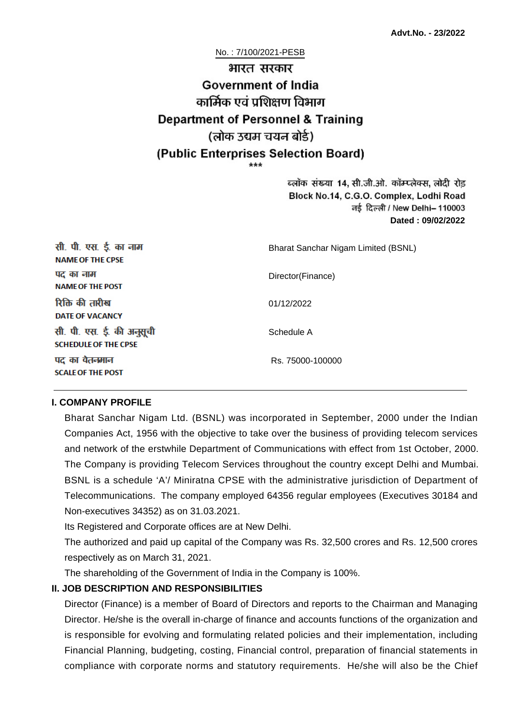No. : 7/100/2021-PESB

# भारत सरकार **Government of India** कार्मिक एवं पशिक्षण विभाग **Department of Personnel & Training** (लोक उद्यम चयन बोर्ड) (Public Enterprises Selection Board)

ब्लॉक संख्या 14, सी.जी.ओ. कॉम्प्लेक्स, लोदी रोड Block No.14, C.G.O. Complex, Lodhi Road ਰई दिल्ली / New Delhi– 110003 **Dated : 09/02/2022**

| सी. पी. एस. ई. का नाम<br><b>NAME OF THE CPSE</b>         | Bharat Sanchar Nigam Limited (BSNL) |
|----------------------------------------------------------|-------------------------------------|
| पद का नाम<br><b>NAME OF THE POST</b>                     | Director(Finance)                   |
| रिक्ति की तारीख<br><b>DATE OF VACANCY</b>                | 01/12/2022                          |
| सी. पी. एस. ई. की अनुसूची<br><b>SCHEDULE OF THE CPSE</b> | Schedule A                          |
| पद का वेतनमान<br><b>SCALE OF THE POST</b>                | Rs. 75000-100000                    |

#### **I. COMPANY PROFILE**

Bharat Sanchar Nigam Ltd. (BSNL) was incorporated in September, 2000 under the Indian Companies Act, 1956 with the objective to take over the business of providing telecom services and network of the erstwhile Department of Communications with effect from 1st October, 2000. The Company is providing Telecom Services throughout the country except Delhi and Mumbai. BSNL is a schedule 'A'/ Miniratna CPSE with the administrative jurisdiction of Department of Telecommunications. The company employed 64356 regular employees (Executives 30184 and Non-executives 34352) as on 31.03.2021.

Its Registered and Corporate offices are at New Delhi.

The authorized and paid up capital of the Company was Rs. 32,500 crores and Rs. 12,500 crores respectively as on March 31, 2021.

The shareholding of the Government of India in the Company is 100%.

#### **II. JOB DESCRIPTION AND RESPONSIBILITIES**

Director (Finance) is a member of Board of Directors and reports to the Chairman and Managing Director. He/she is the overall in-charge of finance and accounts functions of the organization and is responsible for evolving and formulating related policies and their implementation, including Financial Planning, budgeting, costing, Financial control, preparation of financial statements in compliance with corporate norms and statutory requirements. He/she will also be the Chief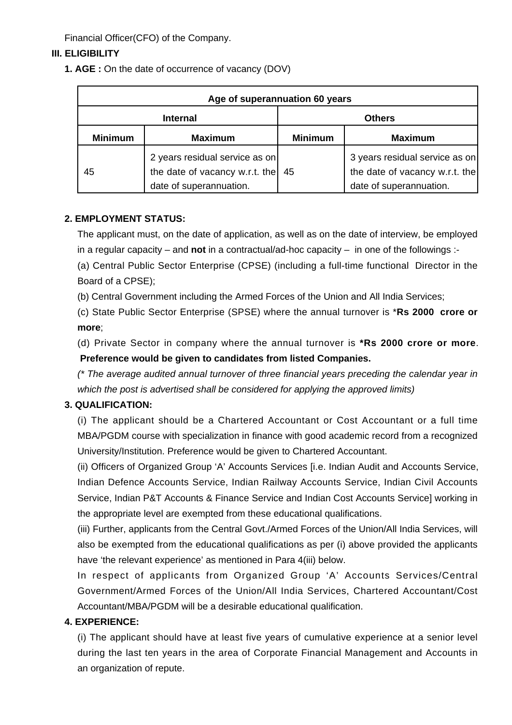Financial Officer(CFO) of the Company.

# **III. ELIGIBILITY**

**1. AGE :** On the date of occurrence of vacancy (DOV)

| Age of superannuation 60 years |                                                                                             |                |                                                                                             |  |
|--------------------------------|---------------------------------------------------------------------------------------------|----------------|---------------------------------------------------------------------------------------------|--|
| <b>Internal</b>                |                                                                                             | <b>Others</b>  |                                                                                             |  |
| <b>Minimum</b>                 | <b>Maximum</b>                                                                              | <b>Minimum</b> | <b>Maximum</b>                                                                              |  |
| 45                             | 2 years residual service as on<br>the date of vacancy w.r.t. the<br>date of superannuation. | 45             | 3 years residual service as on<br>the date of vacancy w.r.t. the<br>date of superannuation. |  |

#### **2. EMPLOYMENT STATUS:**

The applicant must, on the date of application, as well as on the date of interview, be employed in a regular capacity – and **not** in a contractual/ad-hoc capacity – in one of the followings :-

(a) Central Public Sector Enterprise (CPSE) (including a full-time functional Director in the Board of a CPSE);

(b) Central Government including the Armed Forces of the Union and All India Services;

(c) State Public Sector Enterprise (SPSE) where the annual turnover is \***Rs 2000 crore or more**;

(d) Private Sector in company where the annual turnover is **\*Rs 2000 crore or more**.  **Preference would be given to candidates from listed Companies.**

(\* The average audited annual turnover of three financial years preceding the calendar year in which the post is advertised shall be considered for applying the approved limits)

# **3. QUALIFICATION:**

(i) The applicant should be a Chartered Accountant or Cost Accountant or a full time MBA/PGDM course with specialization in finance with good academic record from a recognized University/Institution. Preference would be given to Chartered Accountant.

(ii) Officers of Organized Group 'A' Accounts Services [i.e. Indian Audit and Accounts Service, Indian Defence Accounts Service, Indian Railway Accounts Service, Indian Civil Accounts Service, Indian P&T Accounts & Finance Service and Indian Cost Accounts Service] working in the appropriate level are exempted from these educational qualifications.

(iii) Further, applicants from the Central Govt./Armed Forces of the Union/All India Services, will also be exempted from the educational qualifications as per (i) above provided the applicants have 'the relevant experience' as mentioned in Para 4(iii) below.

In respect of applicants from Organized Group 'A' Accounts Services/Central Government/Armed Forces of the Union/All India Services, Chartered Accountant/Cost Accountant/MBA/PGDM will be a desirable educational qualification.

# **4. EXPERIENCE:**

(i) The applicant should have at least five years of cumulative experience at a senior level during the last ten years in the area of Corporate Financial Management and Accounts in an organization of repute.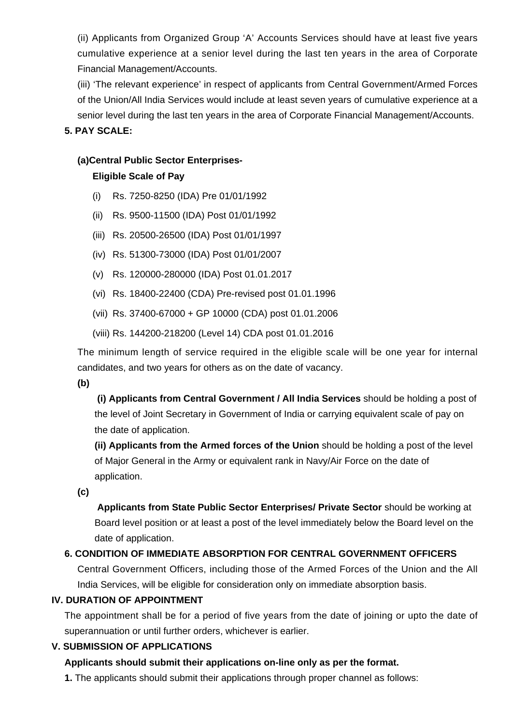(ii) Applicants from Organized Group 'A' Accounts Services should have at least five years cumulative experience at a senior level during the last ten years in the area of Corporate Financial Management/Accounts.

(iii) 'The relevant experience' in respect of applicants from Central Government/Armed Forces of the Union/All India Services would include at least seven years of cumulative experience at a senior level during the last ten years in the area of Corporate Financial Management/Accounts.

# **5. PAY SCALE:**

#### **(a)Central Public Sector Enterprises-**

#### **Eligible Scale of Pay**

- (i) Rs. 7250-8250 (IDA) Pre 01/01/1992
- (ii) Rs. 9500-11500 (IDA) Post 01/01/1992
- (iii) Rs. 20500-26500 (IDA) Post 01/01/1997
- (iv) Rs. 51300-73000 (IDA) Post 01/01/2007
- (v) Rs. 120000-280000 (IDA) Post 01.01.2017
- (vi) Rs. 18400-22400 (CDA) Pre-revised post 01.01.1996
- (vii) Rs. 37400-67000 + GP 10000 (CDA) post 01.01.2006
- (viii) Rs. 144200-218200 (Level 14) CDA post 01.01.2016

The minimum length of service required in the eligible scale will be one year for internal candidates, and two years for others as on the date of vacancy.

**(b)**

**(i) Applicants from Central Government / All India Services** should be holding a post of the level of Joint Secretary in Government of India or carrying equivalent scale of pay on the date of application.

**(ii) Applicants from the Armed forces of the Union** should be holding a post of the level of Major General in the Army or equivalent rank in Navy/Air Force on the date of application.

**(c)**

 **Applicants from State Public Sector Enterprises/ Private Sector** should be working at Board level position or at least a post of the level immediately below the Board level on the date of application.

# **6. CONDITION OF IMMEDIATE ABSORPTION FOR CENTRAL GOVERNMENT OFFICERS**

Central Government Officers, including those of the Armed Forces of the Union and the All India Services, will be eligible for consideration only on immediate absorption basis.

#### **IV. DURATION OF APPOINTMENT**

The appointment shall be for a period of five years from the date of joining or upto the date of superannuation or until further orders, whichever is earlier.

# **V. SUBMISSION OF APPLICATIONS**

# **Applicants should submit their applications on-line only as per the format.**

**1.** The applicants should submit their applications through proper channel as follows: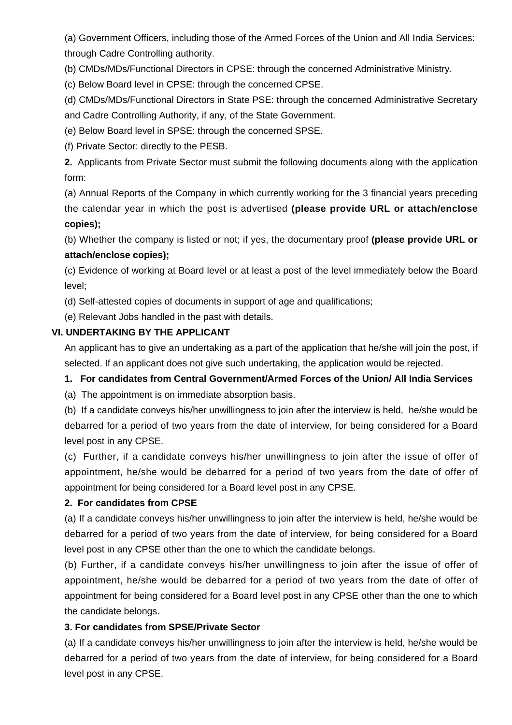(a) Government Officers, including those of the Armed Forces of the Union and All India Services: through Cadre Controlling authority.

(b) CMDs/MDs/Functional Directors in CPSE: through the concerned Administrative Ministry.

(c) Below Board level in CPSE: through the concerned CPSE.

(d) CMDs/MDs/Functional Directors in State PSE: through the concerned Administrative Secretary and Cadre Controlling Authority, if any, of the State Government.

(e) Below Board level in SPSE: through the concerned SPSE.

(f) Private Sector: directly to the PESB.

**2.** Applicants from Private Sector must submit the following documents along with the application form:

(a) Annual Reports of the Company in which currently working for the 3 financial years preceding the calendar year in which the post is advertised **(please provide URL or attach/enclose copies);**

(b) Whether the company is listed or not; if yes, the documentary proof **(please provide URL or attach/enclose copies);**

(c) Evidence of working at Board level or at least a post of the level immediately below the Board level;

(d) Self-attested copies of documents in support of age and qualifications;

(e) Relevant Jobs handled in the past with details.

# **VI. UNDERTAKING BY THE APPLICANT**

An applicant has to give an undertaking as a part of the application that he/she will join the post, if selected. If an applicant does not give such undertaking, the application would be rejected.

# **1. For candidates from Central Government/Armed Forces of the Union/ All India Services**

(a) The appointment is on immediate absorption basis.

(b) If a candidate conveys his/her unwillingness to join after the interview is held, he/she would be debarred for a period of two years from the date of interview, for being considered for a Board level post in any CPSE.

(c) Further, if a candidate conveys his/her unwillingness to join after the issue of offer of appointment, he/she would be debarred for a period of two years from the date of offer of appointment for being considered for a Board level post in any CPSE.

# **2. For candidates from CPSE**

(a) If a candidate conveys his/her unwillingness to join after the interview is held, he/she would be debarred for a period of two years from the date of interview, for being considered for a Board level post in any CPSE other than the one to which the candidate belongs.

(b) Further, if a candidate conveys his/her unwillingness to join after the issue of offer of appointment, he/she would be debarred for a period of two years from the date of offer of appointment for being considered for a Board level post in any CPSE other than the one to which the candidate belongs.

# **3. For candidates from SPSE/Private Sector**

(a) If a candidate conveys his/her unwillingness to join after the interview is held, he/she would be debarred for a period of two years from the date of interview, for being considered for a Board level post in any CPSE.